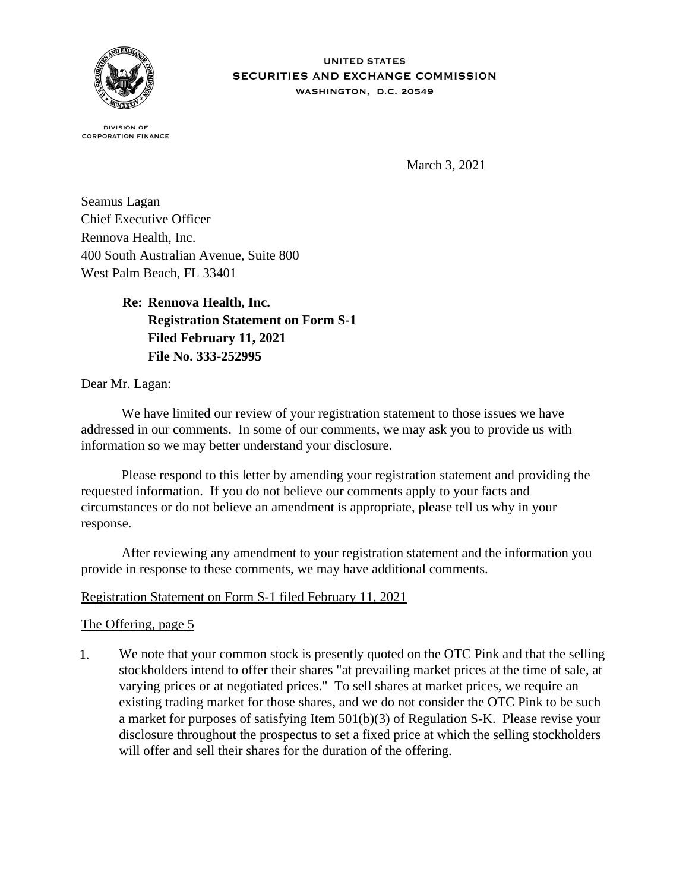

**DIVISION OF CORPORATION FINANCE** 

March 3, 2021

Seamus Lagan Chief Executive Officer Rennova Health, Inc. 400 South Australian Avenue, Suite 800 West Palm Beach, FL 33401

> **Re: Rennova Health, Inc. Registration Statement on Form S-1 Filed February 11, 2021 File No. 333-252995**

Dear Mr. Lagan:

 We have limited our review of your registration statement to those issues we have addressed in our comments. In some of our comments, we may ask you to provide us with information so we may better understand your disclosure.

 Please respond to this letter by amending your registration statement and providing the requested information. If you do not believe our comments apply to your facts and circumstances or do not believe an amendment is appropriate, please tell us why in your response.

 After reviewing any amendment to your registration statement and the information you provide in response to these comments, we may have additional comments.

## Registration Statement on Form S-1 filed February 11, 2021

## The Offering, page 5

1. We note that your common stock is presently quoted on the OTC Pink and that the selling stockholders intend to offer their shares "at prevailing market prices at the time of sale, at varying prices or at negotiated prices." To sell shares at market prices, we require an existing trading market for those shares, and we do not consider the OTC Pink to be such a market for purposes of satisfying Item 501(b)(3) of Regulation S-K. Please revise your disclosure throughout the prospectus to set a fixed price at which the selling stockholders will offer and sell their shares for the duration of the offering.